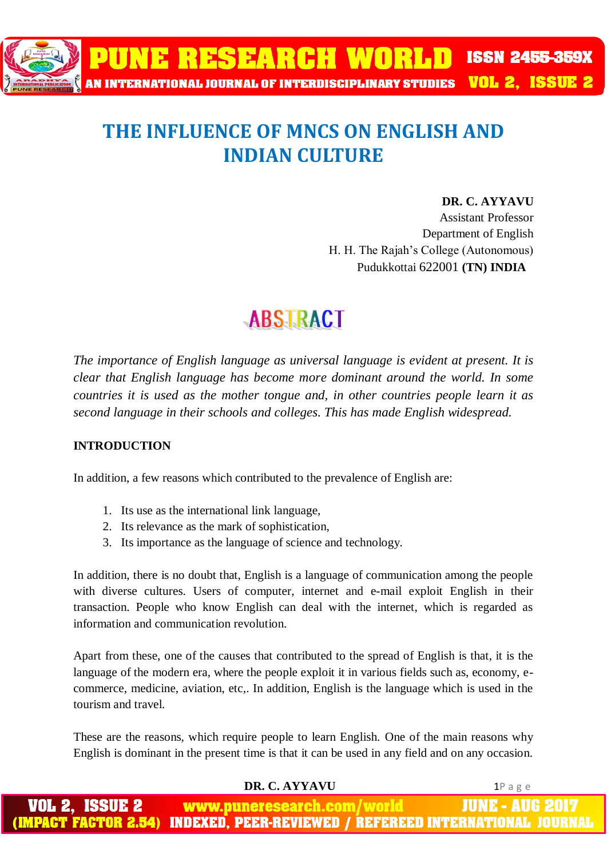

## **THE INFLUENCE OF MNCS ON ENGLISH AND INDIAN CULTURE**

#### **DR. C. AYYAVU**

Assistant Professor Department of English H. H. The Rajah's College (Autonomous) Pudukkottai 622001 **(TN) INDIA**

## **ABSTRACT**

*The importance of English language as universal language is evident at present. It is clear that English language has become more dominant around the world. In some countries it is used as the mother tongue and, in other countries people learn it as second language in their schools and colleges. This has made English widespread.*

### **INTRODUCTION**

In addition, a few reasons which contributed to the prevalence of English are:

- 1. Its use as the international link language,
- 2. Its relevance as the mark of sophistication,
- 3. Its importance as the language of science and technology.

In addition, there is no doubt that, English is a language of communication among the people with diverse cultures. Users of computer, internet and e-mail exploit English in their transaction. People who know English can deal with the internet, which is regarded as information and communication revolution.

Apart from these, one of the causes that contributed to the spread of English is that, it is the language of the modern era, where the people exploit it in various fields such as, economy, ecommerce, medicine, aviation, etc,. In addition, English is the language which is used in the tourism and travel.

These are the reasons, which require people to learn English. One of the main reasons why English is dominant in the present time is that it can be used in any field and on any occasion.

#### **DR. C. AYYAVU** 1P a g e

| <b>VOL 2, ISSUE 2</b> | www.puneresearch.com/world | <b>JUNE - AUG 2017</b>                                                        |
|-----------------------|----------------------------|-------------------------------------------------------------------------------|
|                       |                            | (IMPACT FACTOR 2.54) INDEXED, PEER-REVIEWED / REFEREED INTERNATIONAL JOURNAL' |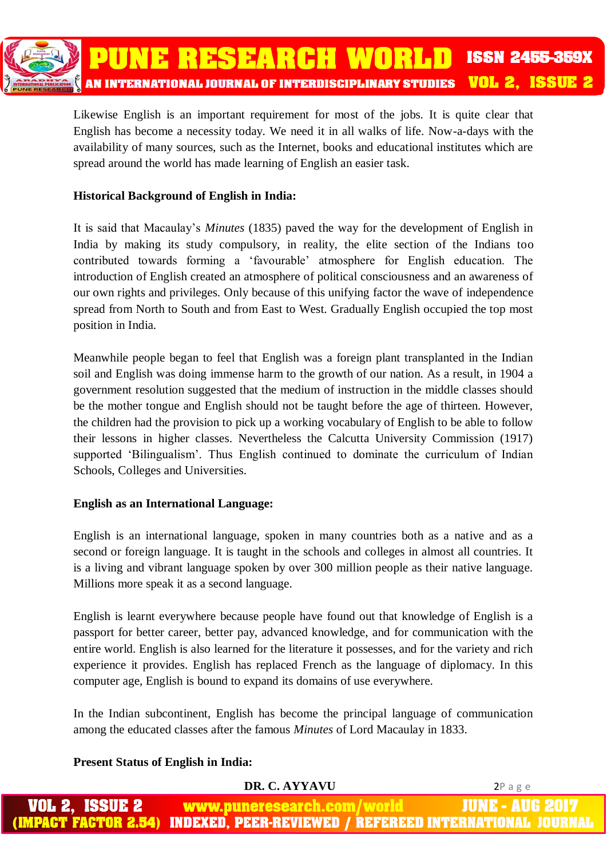

Likewise English is an important requirement for most of the jobs. It is quite clear that English has become a necessity today. We need it in all walks of life. Now-a-days with the availability of many sources, such as the Internet, books and educational institutes which are spread around the world has made learning of English an easier task.

#### **Historical Background of English in India:**

It is said that Macaulay's *Minutes* (1835) paved the way for the development of English in India by making its study compulsory, in reality, the elite section of the Indians too contributed towards forming a 'favourable' atmosphere for English education. The introduction of English created an atmosphere of political consciousness and an awareness of our own rights and privileges. Only because of this unifying factor the wave of independence spread from North to South and from East to West. Gradually English occupied the top most position in India.

Meanwhile people began to feel that English was a foreign plant transplanted in the Indian soil and English was doing immense harm to the growth of our nation. As a result, in 1904 a government resolution suggested that the medium of instruction in the middle classes should be the mother tongue and English should not be taught before the age of thirteen. However, the children had the provision to pick up a working vocabulary of English to be able to follow their lessons in higher classes. Nevertheless the Calcutta University Commission (1917) supported 'Bilingualism'. Thus English continued to dominate the curriculum of Indian Schools, Colleges and Universities.

#### **English as an International Language:**

English is an international language, spoken in many countries both as a native and as a second or foreign language. It is taught in the schools and colleges in almost all countries. It is a living and vibrant language spoken by over 300 million people as their native language. Millions more speak it as a second language.

English is learnt everywhere because people have found out that knowledge of English is a passport for better career, better pay, advanced knowledge, and for communication with the entire world. English is also learned for the literature it possesses, and for the variety and rich experience it provides. English has replaced French as the language of diplomacy. In this computer age, English is bound to expand its domains of use everywhere.

In the Indian subcontinent, English has become the principal language of communication among the educated classes after the famous *Minutes* of Lord Macaulay in 1833.

#### **Present Status of English in India:**

| DR. C. AYYAVU                                                                | 2Page |
|------------------------------------------------------------------------------|-------|
| <b>VOL 2, ISSUE 2 www.puneresearch.com/world by JUNE - AUG 2017 \</b>        |       |
| (IMPACT FACTOR 2.54) INDEXED. PEER-REVIEWED / REFEREED INTERNATIONAL JOURNAL |       |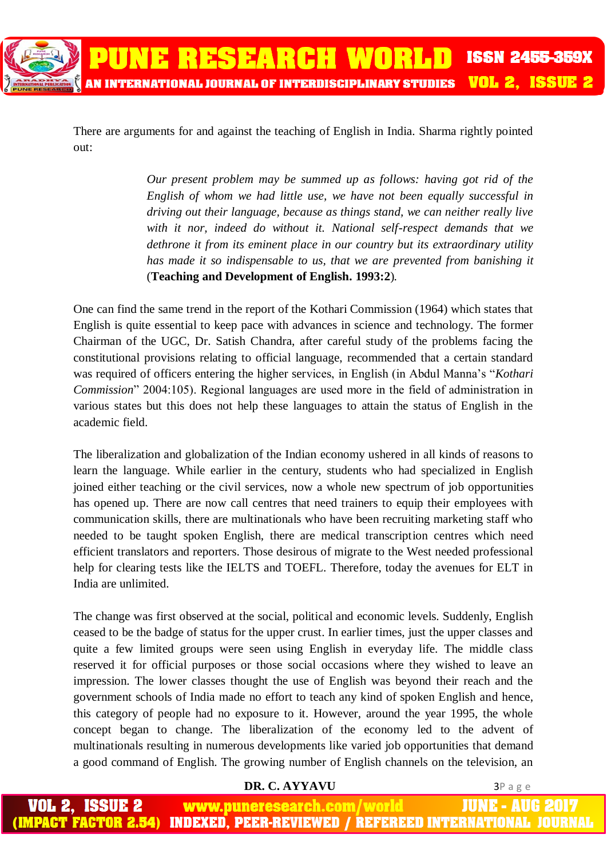There are arguments for and against the teaching of English in India. Sharma rightly pointed out:

> *Our present problem may be summed up as follows: having got rid of the English of whom we had little use, we have not been equally successful in driving out their language, because as things stand, we can neither really live with it nor, indeed do without it. National self-respect demands that we dethrone it from its eminent place in our country but its extraordinary utility has made it so indispensable to us, that we are prevented from banishing it* (**Teaching and Development of English. 1993:2**)*.*

One can find the same trend in the report of the Kothari Commission (1964) which states that English is quite essential to keep pace with advances in science and technology. The former Chairman of the UGC, Dr. Satish Chandra, after careful study of the problems facing the constitutional provisions relating to official language, recommended that a certain standard was required of officers entering the higher services, in English (in Abdul Manna's "*Kothari Commission*" 2004:105). Regional languages are used more in the field of administration in various states but this does not help these languages to attain the status of English in the academic field.

The liberalization and globalization of the Indian economy ushered in all kinds of reasons to learn the language. While earlier in the century, students who had specialized in English joined either teaching or the civil services, now a whole new spectrum of job opportunities has opened up. There are now call centres that need trainers to equip their employees with communication skills, there are multinationals who have been recruiting marketing staff who needed to be taught spoken English, there are medical transcription centres which need efficient translators and reporters. Those desirous of migrate to the West needed professional help for clearing tests like the IELTS and TOEFL. Therefore, today the avenues for ELT in India are unlimited.

The change was first observed at the social, political and economic levels. Suddenly, English ceased to be the badge of status for the upper crust. In earlier times, just the upper classes and quite a few limited groups were seen using English in everyday life. The middle class reserved it for official purposes or those social occasions where they wished to leave an impression. The lower classes thought the use of English was beyond their reach and the government schools of India made no effort to teach any kind of spoken English and hence, this category of people had no exposure to it. However, around the year 1995, the whole concept began to change. The liberalization of the economy led to the advent of multinationals resulting in numerous developments like varied job opportunities that demand a good command of English. The growing number of English channels on the television, an

#### **DR. C. AYYAVU** 3P a g e

IUNE - AUG ISSUE 2 www.puneresearch.com/world **APACT FACTOR 2.54)** INDEXED. PEER-REVIEWED / REFEREED INTERNATIONAL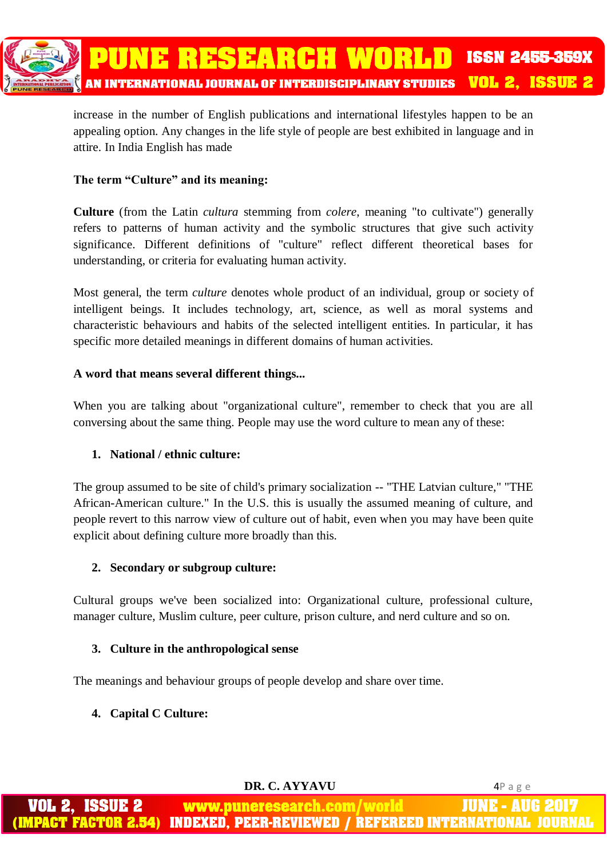

increase in the number of English publications and international lifestyles happen to be an appealing option. Any changes in the life style of people are best exhibited in language and in attire. In India English has made

#### **The term "Culture" and its meaning:**

**Culture** (from the Latin *cultura* stemming from *colere*, meaning "to cultivate") generally refers to patterns of human activity and the symbolic structures that give such activity significance. Different definitions of "culture" reflect different theoretical bases for understanding, or criteria for evaluating human activity.

Most general, the term *culture* denotes whole product of an individual, group or society of intelligent beings. It includes technology, art, science, as well as moral systems and characteristic behaviours and habits of the selected intelligent entities. In particular, it has specific more detailed meanings in different domains of human activities.

#### **A word that means several different things...**

When you are talking about "organizational culture", remember to check that you are all conversing about the same thing. People may use the word culture to mean any of these:

#### **1. National / ethnic culture:**

The group assumed to be site of child's primary socialization -- "THE Latvian culture," "THE African-American culture." In the U.S. this is usually the assumed meaning of culture, and people revert to this narrow view of culture out of habit, even when you may have been quite explicit about defining culture more broadly than this.

#### **2. Secondary or subgroup culture:**

Cultural groups we've been socialized into: Organizational culture, professional culture, manager culture, Muslim culture, peer culture, prison culture, and nerd culture and so on.

### **3. Culture in the anthropological sense**

The meanings and behaviour groups of people develop and share over time.

### **4. Capital C Culture:**

 **DR. C. AYYAVU** 4P a g e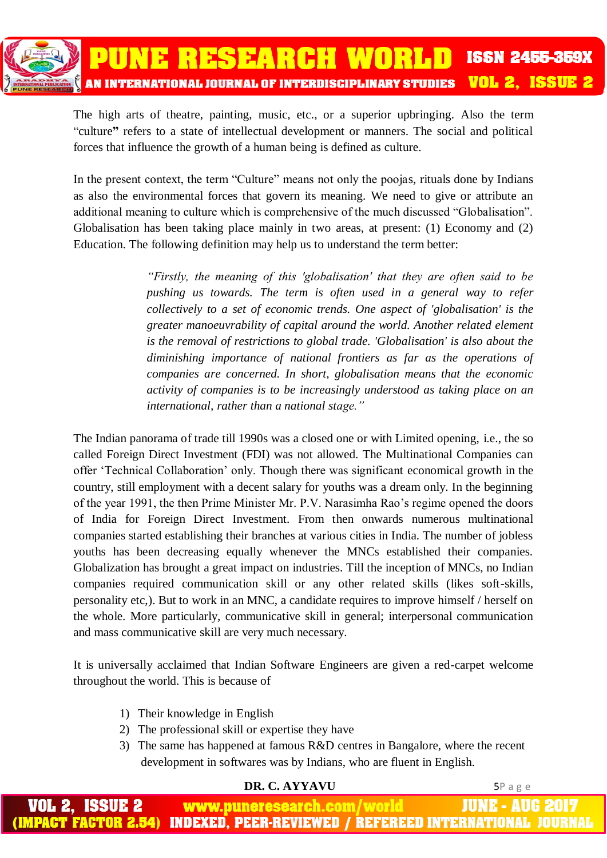

The high arts of theatre, painting, music, etc., or a superior upbringing. Also the term "culture**"** refers to a state of intellectual development or manners. The social and political forces that influence the growth of a human being is defined as culture.

In the present context, the term "Culture" means not only the poojas, rituals done by Indians as also the environmental forces that govern its meaning. We need to give or attribute an additional meaning to culture which is comprehensive of the much discussed "Globalisation". Globalisation has been taking place mainly in two areas, at present: (1) Economy and (2) Education. The following definition may help us to understand the term better:

> *"Firstly, the meaning of this 'globalisation' that they are often said to be pushing us towards. The term is often used in a general way to refer collectively to a set of economic trends. One aspect of 'globalisation' is the greater manoeuvrability of capital around the world. Another related element is the removal of restrictions to global trade. 'Globalisation' is also about the diminishing importance of national frontiers as far as the operations of companies are concerned. In short, globalisation means that the economic activity of companies is to be increasingly understood as taking place on an international, rather than a national stage."*

The Indian panorama of trade till 1990s was a closed one or with Limited opening, i.e., the so called Foreign Direct Investment (FDI) was not allowed. The Multinational Companies can offer 'Technical Collaboration' only. Though there was significant economical growth in the country, still employment with a decent salary for youths was a dream only. In the beginning of the year 1991, the then Prime Minister Mr. P.V. Narasimha Rao's regime opened the doors of India for Foreign Direct Investment. From then onwards numerous multinational companies started establishing their branches at various cities in India. The number of jobless youths has been decreasing equally whenever the MNCs established their companies. Globalization has brought a great impact on industries. Till the inception of MNCs, no Indian companies required communication skill or any other related skills (likes soft-skills, personality etc,). But to work in an MNC, a candidate requires to improve himself / herself on the whole. More particularly, communicative skill in general; interpersonal communication and mass communicative skill are very much necessary.

It is universally acclaimed that Indian Software Engineers are given a red-carpet welcome throughout the world. This is because of

- 1) Their knowledge in English
- 2) The professional skill or expertise they have
- 3) The same has happened at famous R&D centres in Bangalore, where the recent development in softwares was by Indians, who are fluent in English.

#### **DR. C. AYYAVU** 5P a g e ISSUEZ www.puneresearch.com/world JUNE - AUG **IMPACT FACTOR 2.54)** INDEXED. PEER-REVIEWED / REFEREED INTERNATIONAL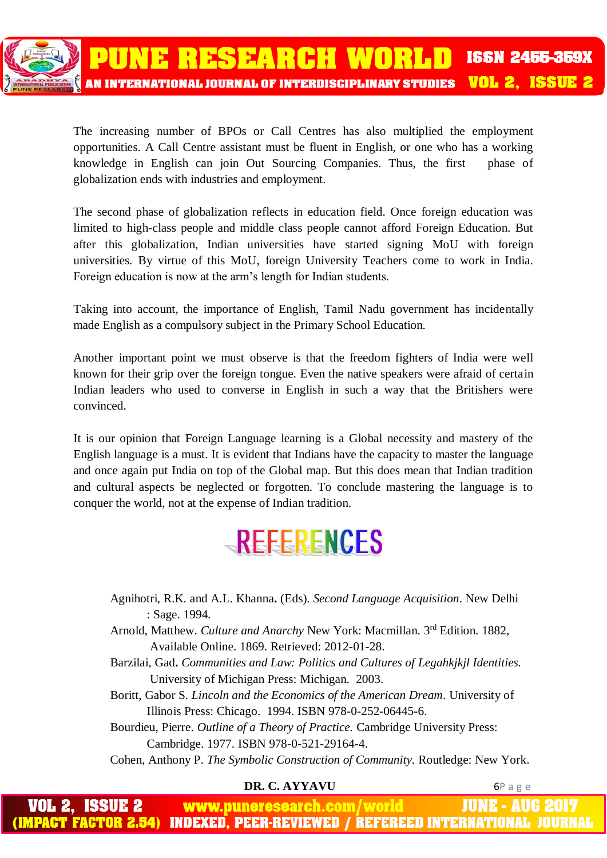

The increasing number of BPOs or Call Centres has also multiplied the employment opportunities. A Call Centre assistant must be fluent in English, or one who has a working knowledge in English can join Out Sourcing Companies. Thus, the first phase of globalization ends with industries and employment.

The second phase of globalization reflects in education field. Once foreign education was limited to high-class people and middle class people cannot afford Foreign Education. But after this globalization, Indian universities have started signing MoU with foreign universities. By virtue of this MoU, foreign University Teachers come to work in India. Foreign education is now at the arm's length for Indian students.

Taking into account, the importance of English, Tamil Nadu government has incidentally made English as a compulsory subject in the Primary School Education.

Another important point we must observe is that the freedom fighters of India were well known for their grip over the foreign tongue. Even the native speakers were afraid of certain Indian leaders who used to converse in English in such a way that the Britishers were convinced.

It is our opinion that Foreign Language learning is a Global necessity and mastery of the English language is a must. It is evident that Indians have the capacity to master the language and once again put India on top of the Global map. But this does mean that Indian tradition and cultural aspects be neglected or forgotten. To conclude mastering the language is to conquer the world, not at the expense of Indian tradition.

# REFERENCES

- Agnihotri, R.K. and A.L. Khanna**.** (Eds). *Second Language Acquisition*. New Delhi : Sage. 1994.
- Arnold, Matthew. Culture and Anarchy New York: Macmillan. 3rd Edition. 1882, Available Online. 1869. Retrieved: 2012-01-28.
- Barzilai, Gad**.** *Communities and Law: Politics and Cultures of Legahkjkjl Identities.* University of Michigan Press: Michigan. 2003.
- Boritt, Gabor S. *Lincoln and the Economics of the American Dream*. University of Illinois Press: Chicago. 1994. ISBN 978-0-252-06445-6.

Bourdieu, Pierre. *Outline of a Theory of Practice.* Cambridge University Press: Cambridge. 1977. ISBN 978-0-521-29164-4.

Cohen, Anthony P. *The Symbolic Construction of Community.* Routledge: New York.

### **DR. C. AYYAVU** 6P a g e

JUNE - AUG www.puneresearch.com/world INDEXED. PEER-REVIEWED / REFEREED INTERNATIONAL